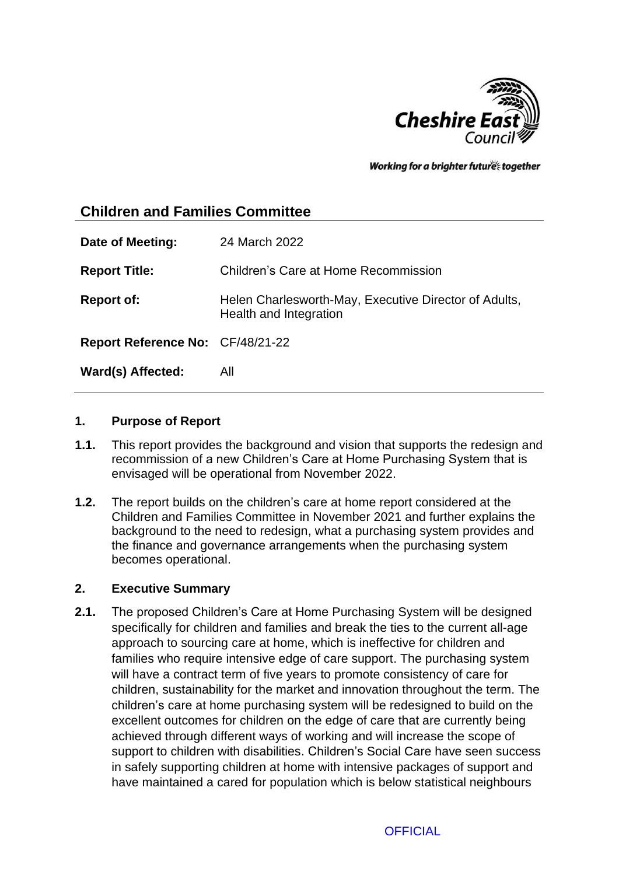

Working for a brighter futures together

# **Children and Families Committee**

| Date of Meeting:                        | 24 March 2022                                                                   |
|-----------------------------------------|---------------------------------------------------------------------------------|
| <b>Report Title:</b>                    | Children's Care at Home Recommission                                            |
| <b>Report of:</b>                       | Helen Charlesworth-May, Executive Director of Adults,<br>Health and Integration |
| <b>Report Reference No: CF/48/21-22</b> |                                                                                 |
| Ward(s) Affected:                       | All                                                                             |

#### **1. Purpose of Report**

- **1.1.** This report provides the background and vision that supports the redesign and recommission of a new Children's Care at Home Purchasing System that is envisaged will be operational from November 2022.
- **1.2.** The report builds on the children's care at home report considered at the Children and Families Committee in November 2021 and further explains the background to the need to redesign, what a purchasing system provides and the finance and governance arrangements when the purchasing system becomes operational.

#### **2. Executive Summary**

**2.1.** The proposed Children's Care at Home Purchasing System will be designed specifically for children and families and break the ties to the current all-age approach to sourcing care at home, which is ineffective for children and families who require intensive edge of care support. The purchasing system will have a contract term of five years to promote consistency of care for children, sustainability for the market and innovation throughout the term. The children's care at home purchasing system will be redesigned to build on the excellent outcomes for children on the edge of care that are currently being achieved through different ways of working and will increase the scope of support to children with disabilities. Children's Social Care have seen success in safely supporting children at home with intensive packages of support and have maintained a cared for population which is below statistical neighbours

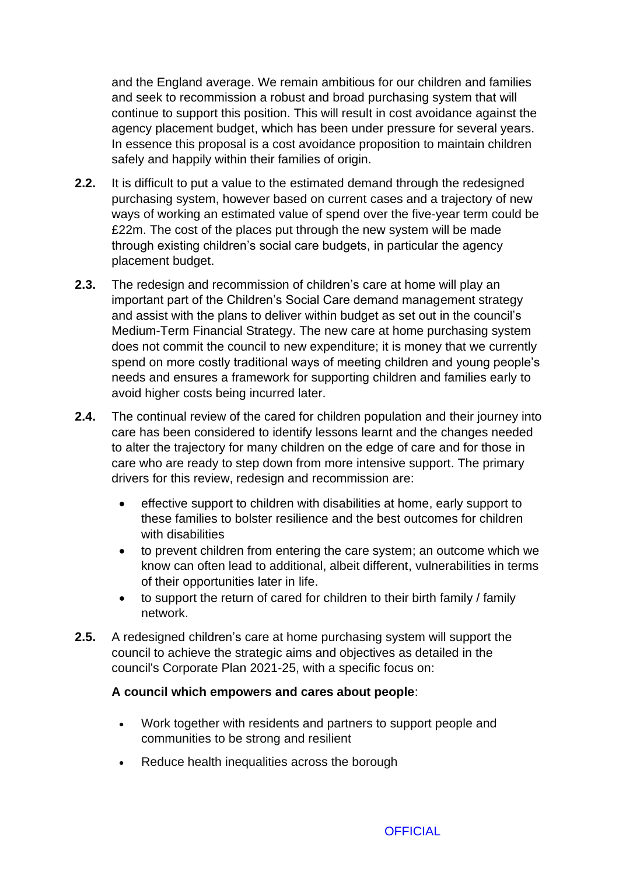and the England average. We remain ambitious for our children and families and seek to recommission a robust and broad purchasing system that will continue to support this position. This will result in cost avoidance against the agency placement budget, which has been under pressure for several years. In essence this proposal is a cost avoidance proposition to maintain children safely and happily within their families of origin.

- **2.2.** It is difficult to put a value to the estimated demand through the redesigned purchasing system, however based on current cases and a trajectory of new ways of working an estimated value of spend over the five-year term could be £22m. The cost of the places put through the new system will be made through existing children's social care budgets, in particular the agency placement budget.
- **2.3.** The redesign and recommission of children's care at home will play an important part of the Children's Social Care demand management strategy and assist with the plans to deliver within budget as set out in the council's Medium-Term Financial Strategy. The new care at home purchasing system does not commit the council to new expenditure; it is money that we currently spend on more costly traditional ways of meeting children and young people's needs and ensures a framework for supporting children and families early to avoid higher costs being incurred later.
- **2.4.** The continual review of the cared for children population and their journey into care has been considered to identify lessons learnt and the changes needed to alter the trajectory for many children on the edge of care and for those in care who are ready to step down from more intensive support. The primary drivers for this review, redesign and recommission are:
	- effective support to children with disabilities at home, early support to these families to bolster resilience and the best outcomes for children with disabilities
	- to prevent children from entering the care system; an outcome which we know can often lead to additional, albeit different, vulnerabilities in terms of their opportunities later in life.
	- to support the return of cared for children to their birth family / family network.
- **2.5.** A redesigned children's care at home purchasing system will support the council to achieve the strategic aims and objectives as detailed in the council's Corporate Plan 2021-25, with a specific focus on:

### **A council which empowers and cares about people**:

- Work together with residents and partners to support people and communities to be strong and resilient
- Reduce health inequalities across the borough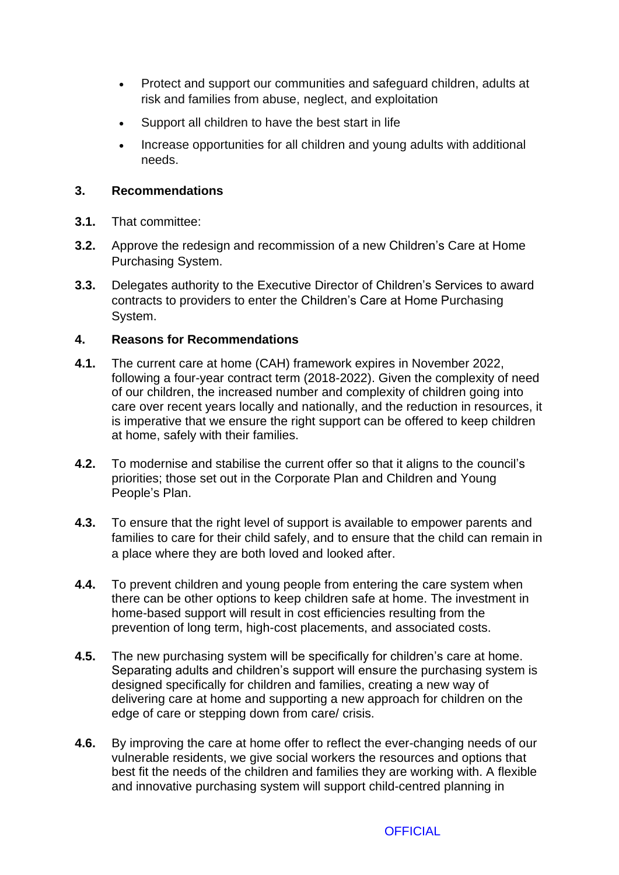- Protect and support our communities and safeguard children, adults at risk and families from abuse, neglect, and exploitation
- Support all children to have the best start in life
- Increase opportunities for all children and young adults with additional needs.

## **3. Recommendations**

- **3.1.** That committee:
- **3.2.** Approve the redesign and recommission of a new Children's Care at Home Purchasing System.
- **3.3.** Delegates authority to the Executive Director of Children's Services to award contracts to providers to enter the Children's Care at Home Purchasing System.

## **4. Reasons for Recommendations**

- **4.1.** The current care at home (CAH) framework expires in November 2022, following a four-year contract term (2018-2022). Given the complexity of need of our children, the increased number and complexity of children going into care over recent years locally and nationally, and the reduction in resources, it is imperative that we ensure the right support can be offered to keep children at home, safely with their families.
- **4.2.** To modernise and stabilise the current offer so that it aligns to the council's priorities; those set out in the Corporate Plan and Children and Young People's Plan.
- **4.3.** To ensure that the right level of support is available to empower parents and families to care for their child safely, and to ensure that the child can remain in a place where they are both loved and looked after.
- **4.4.** To prevent children and young people from entering the care system when there can be other options to keep children safe at home. The investment in home-based support will result in cost efficiencies resulting from the prevention of long term, high-cost placements, and associated costs.
- **4.5.** The new purchasing system will be specifically for children's care at home. Separating adults and children's support will ensure the purchasing system is designed specifically for children and families, creating a new way of delivering care at home and supporting a new approach for children on the edge of care or stepping down from care/ crisis.
- **4.6.** By improving the care at home offer to reflect the ever-changing needs of our vulnerable residents, we give social workers the resources and options that best fit the needs of the children and families they are working with. A flexible and innovative purchasing system will support child-centred planning in

**OFFICIAL**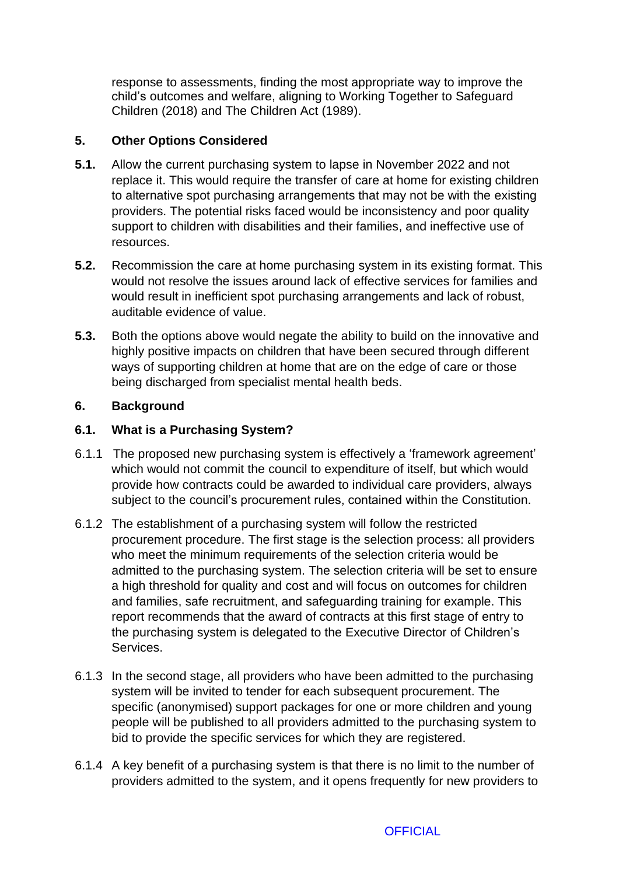response to assessments, finding the most appropriate way to improve the child's outcomes and welfare, aligning to Working Together to Safeguard Children (2018) and The Children Act (1989).

## **5. Other Options Considered**

- **5.1.** Allow the current purchasing system to lapse in November 2022 and not replace it. This would require the transfer of care at home for existing children to alternative spot purchasing arrangements that may not be with the existing providers. The potential risks faced would be inconsistency and poor quality support to children with disabilities and their families, and ineffective use of resources.
- **5.2.** Recommission the care at home purchasing system in its existing format. This would not resolve the issues around lack of effective services for families and would result in inefficient spot purchasing arrangements and lack of robust, auditable evidence of value.
- **5.3.** Both the options above would negate the ability to build on the innovative and highly positive impacts on children that have been secured through different ways of supporting children at home that are on the edge of care or those being discharged from specialist mental health beds.

## **6. Background**

## **6.1. What is a Purchasing System?**

- 6.1.1 The proposed new purchasing system is effectively a 'framework agreement' which would not commit the council to expenditure of itself, but which would provide how contracts could be awarded to individual care providers, always subject to the council's procurement rules, contained within the Constitution.
- 6.1.2 The establishment of a purchasing system will follow the restricted procurement procedure. The first stage is the selection process: all providers who meet the minimum requirements of the selection criteria would be admitted to the purchasing system. The selection criteria will be set to ensure a high threshold for quality and cost and will focus on outcomes for children and families, safe recruitment, and safeguarding training for example. This report recommends that the award of contracts at this first stage of entry to the purchasing system is delegated to the Executive Director of Children's Services.
- 6.1.3 In the second stage, all providers who have been admitted to the purchasing system will be invited to tender for each subsequent procurement. The specific (anonymised) support packages for one or more children and young people will be published to all providers admitted to the purchasing system to bid to provide the specific services for which they are registered.
- 6.1.4 A key benefit of a purchasing system is that there is no limit to the number of providers admitted to the system, and it opens frequently for new providers to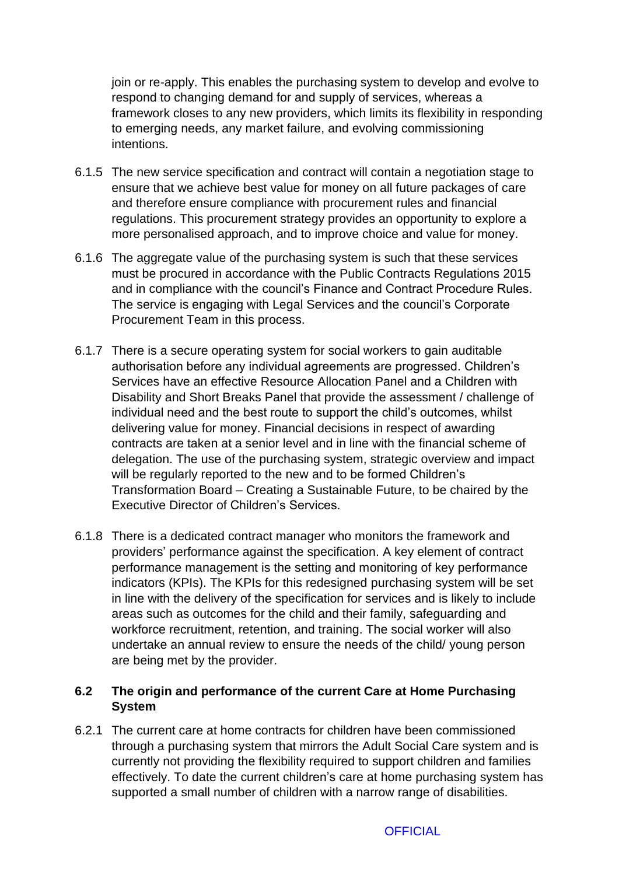join or re-apply. This enables the purchasing system to develop and evolve to respond to changing demand for and supply of services, whereas a framework closes to any new providers, which limits its flexibility in responding to emerging needs, any market failure, and evolving commissioning intentions.

- 6.1.5 The new service specification and contract will contain a negotiation stage to ensure that we achieve best value for money on all future packages of care and therefore ensure compliance with procurement rules and financial regulations. This procurement strategy provides an opportunity to explore a more personalised approach, and to improve choice and value for money.
- 6.1.6 The aggregate value of the purchasing system is such that these services must be procured in accordance with the Public Contracts Regulations 2015 and in compliance with the council's Finance and Contract Procedure Rules. The service is engaging with Legal Services and the council's Corporate Procurement Team in this process.
- 6.1.7 There is a secure operating system for social workers to gain auditable authorisation before any individual agreements are progressed. Children's Services have an effective Resource Allocation Panel and a Children with Disability and Short Breaks Panel that provide the assessment / challenge of individual need and the best route to support the child's outcomes, whilst delivering value for money. Financial decisions in respect of awarding contracts are taken at a senior level and in line with the financial scheme of delegation. The use of the purchasing system, strategic overview and impact will be regularly reported to the new and to be formed Children's Transformation Board – Creating a Sustainable Future, to be chaired by the Executive Director of Children's Services.
- 6.1.8 There is a dedicated contract manager who monitors the framework and providers' performance against the specification. A key element of contract performance management is the setting and monitoring of key performance indicators (KPIs). The KPIs for this redesigned purchasing system will be set in line with the delivery of the specification for services and is likely to include areas such as outcomes for the child and their family, safeguarding and workforce recruitment, retention, and training. The social worker will also undertake an annual review to ensure the needs of the child/ young person are being met by the provider.

## **6.2 The origin and performance of the current Care at Home Purchasing System**

6.2.1 The current care at home contracts for children have been commissioned through a purchasing system that mirrors the Adult Social Care system and is currently not providing the flexibility required to support children and families effectively. To date the current children's care at home purchasing system has supported a small number of children with a narrow range of disabilities.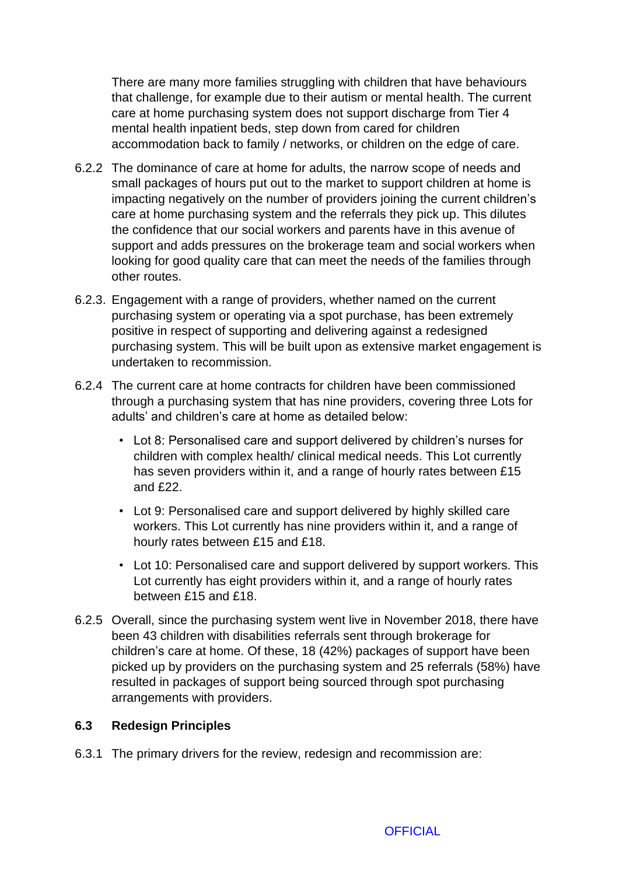There are many more families struggling with children that have behaviours that challenge, for example due to their autism or mental health. The current care at home purchasing system does not support discharge from Tier 4 mental health inpatient beds, step down from cared for children accommodation back to family / networks, or children on the edge of care.

- 6.2.2 The dominance of care at home for adults, the narrow scope of needs and small packages of hours put out to the market to support children at home is impacting negatively on the number of providers joining the current children's care at home purchasing system and the referrals they pick up. This dilutes the confidence that our social workers and parents have in this avenue of support and adds pressures on the brokerage team and social workers when looking for good quality care that can meet the needs of the families through other routes.
- 6.2.3. Engagement with a range of providers, whether named on the current purchasing system or operating via a spot purchase, has been extremely positive in respect of supporting and delivering against a redesigned purchasing system. This will be built upon as extensive market engagement is undertaken to recommission.
- 6.2.4 The current care at home contracts for children have been commissioned through a purchasing system that has nine providers, covering three Lots for adults' and children's care at home as detailed below:
	- Lot 8: Personalised care and support delivered by children's nurses for children with complex health/ clinical medical needs. This Lot currently has seven providers within it, and a range of hourly rates between £15 and £22.
	- Lot 9: Personalised care and support delivered by highly skilled care workers. This Lot currently has nine providers within it, and a range of hourly rates between £15 and £18.
	- Lot 10: Personalised care and support delivered by support workers. This Lot currently has eight providers within it, and a range of hourly rates between £15 and £18.
- 6.2.5 Overall, since the purchasing system went live in November 2018, there have been 43 children with disabilities referrals sent through brokerage for children's care at home. Of these, 18 (42%) packages of support have been picked up by providers on the purchasing system and 25 referrals (58%) have resulted in packages of support being sourced through spot purchasing arrangements with providers.

#### **6.3 Redesign Principles**

6.3.1 The primary drivers for the review, redesign and recommission are: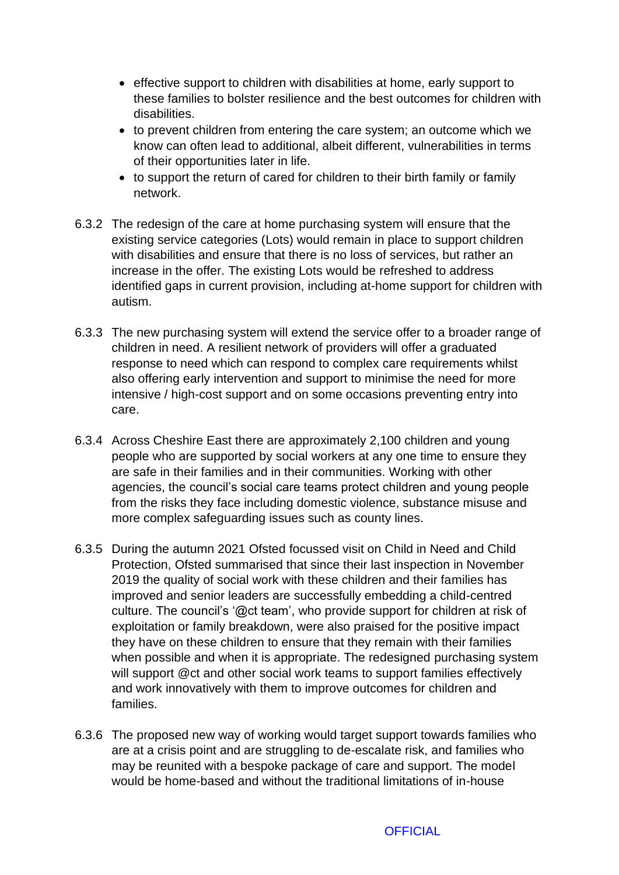- effective support to children with disabilities at home, early support to these families to bolster resilience and the best outcomes for children with disabilities.
- to prevent children from entering the care system; an outcome which we know can often lead to additional, albeit different, vulnerabilities in terms of their opportunities later in life.
- to support the return of cared for children to their birth family or family network.
- 6.3.2 The redesign of the care at home purchasing system will ensure that the existing service categories (Lots) would remain in place to support children with disabilities and ensure that there is no loss of services, but rather an increase in the offer. The existing Lots would be refreshed to address identified gaps in current provision, including at-home support for children with autism.
- 6.3.3 The new purchasing system will extend the service offer to a broader range of children in need. A resilient network of providers will offer a graduated response to need which can respond to complex care requirements whilst also offering early intervention and support to minimise the need for more intensive / high-cost support and on some occasions preventing entry into care.
- 6.3.4 Across Cheshire East there are approximately 2,100 children and young people who are supported by social workers at any one time to ensure they are safe in their families and in their communities. Working with other agencies, the council's social care teams protect children and young people from the risks they face including domestic violence, substance misuse and more complex safeguarding issues such as county lines.
- 6.3.5 During the autumn 2021 Ofsted focussed visit on Child in Need and Child Protection, Ofsted summarised that since their last inspection in November 2019 the quality of social work with these children and their families has improved and senior leaders are successfully embedding a child-centred culture. The council's '@ct team', who provide support for children at risk of exploitation or family breakdown, were also praised for the positive impact they have on these children to ensure that they remain with their families when possible and when it is appropriate. The redesigned purchasing system will support @ct and other social work teams to support families effectively and work innovatively with them to improve outcomes for children and families.
- 6.3.6 The proposed new way of working would target support towards families who are at a crisis point and are struggling to de-escalate risk, and families who may be reunited with a bespoke package of care and support. The model would be home-based and without the traditional limitations of in-house

**OFFICIAL**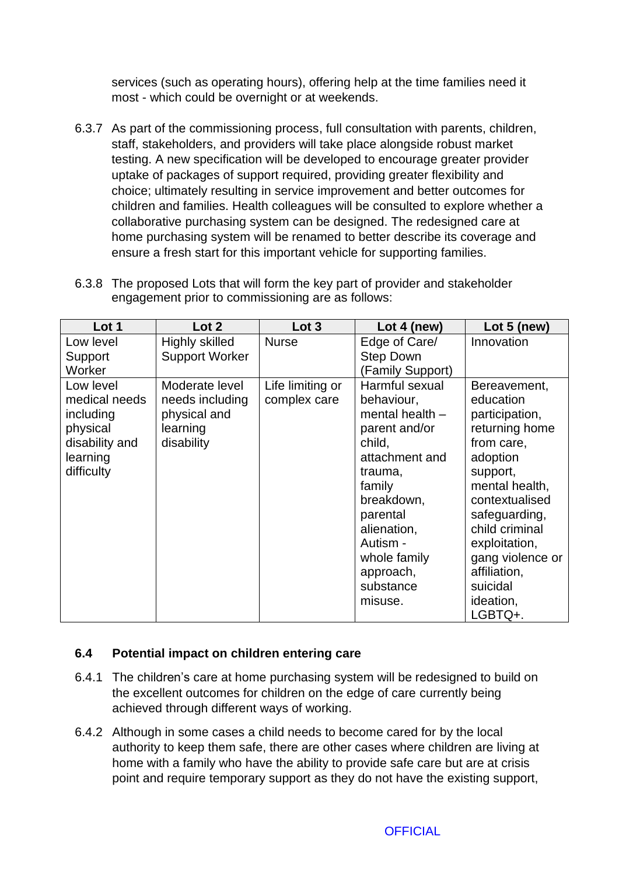services (such as operating hours), offering help at the time families need it most - which could be overnight or at weekends.

6.3.7 As part of the commissioning process, full consultation with parents, children, staff, stakeholders, and providers will take place alongside robust market testing. A new specification will be developed to encourage greater provider uptake of packages of support required, providing greater flexibility and choice; ultimately resulting in service improvement and better outcomes for children and families. Health colleagues will be consulted to explore whether a collaborative purchasing system can be designed. The redesigned care at home purchasing system will be renamed to better describe its coverage and ensure a fresh start for this important vehicle for supporting families.

| 6.3.8 The proposed Lots that will form the key part of provider and stakeholder |
|---------------------------------------------------------------------------------|
| engagement prior to commissioning are as follows:                               |

| Lot 1          | Lot 2                 | Lot 3            | Lot 4 (new)       | Lot $5$ (new)    |
|----------------|-----------------------|------------------|-------------------|------------------|
| Low level      | Highly skilled        | <b>Nurse</b>     | Edge of Care/     | Innovation       |
| Support        | <b>Support Worker</b> |                  | <b>Step Down</b>  |                  |
| Worker         |                       |                  | (Family Support)  |                  |
| Low level      | Moderate level        | Life limiting or | Harmful sexual    | Bereavement,     |
| medical needs  | needs including       | complex care     | behaviour,        | education        |
| including      | physical and          |                  | mental health $-$ | participation,   |
| physical       | learning              |                  | parent and/or     | returning home   |
| disability and | disability            |                  | child,            | from care,       |
| learning       |                       |                  | attachment and    | adoption         |
| difficulty     |                       |                  | trauma,           | support,         |
|                |                       |                  | family            | mental health,   |
|                |                       |                  | breakdown,        | contextualised   |
|                |                       |                  | parental          | safeguarding,    |
|                |                       |                  | alienation,       | child criminal   |
|                |                       |                  | Autism -          | exploitation,    |
|                |                       |                  | whole family      | gang violence or |
|                |                       |                  | approach,         | affiliation,     |
|                |                       |                  | substance         | suicidal         |
|                |                       |                  | misuse.           | ideation,        |
|                |                       |                  |                   | LGBTQ+.          |

#### **6.4 Potential impact on children entering care**

- 6.4.1 The children's care at home purchasing system will be redesigned to build on the excellent outcomes for children on the edge of care currently being achieved through different ways of working.
- 6.4.2 Although in some cases a child needs to become cared for by the local authority to keep them safe, there are other cases where children are living at home with a family who have the ability to provide safe care but are at crisis point and require temporary support as they do not have the existing support,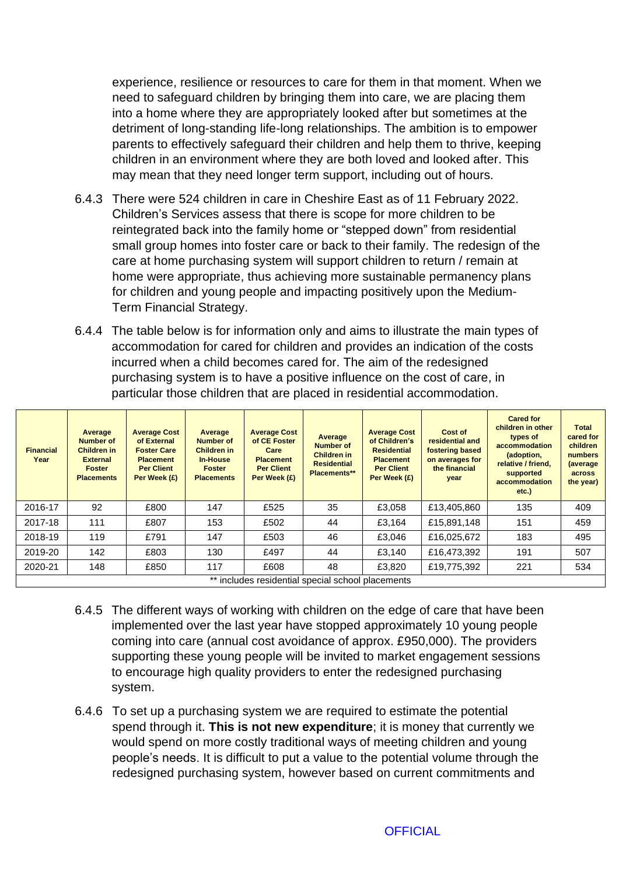experience, resilience or resources to care for them in that moment. When we need to safeguard children by bringing them into care, we are placing them into a home where they are appropriately looked after but sometimes at the detriment of long-standing life-long relationships. The ambition is to empower parents to effectively safeguard their children and help them to thrive, keeping children in an environment where they are both loved and looked after. This may mean that they need longer term support, including out of hours.

- 6.4.3 There were 524 children in care in Cheshire East as of 11 February 2022. Children's Services assess that there is scope for more children to be reintegrated back into the family home or "stepped down" from residential small group homes into foster care or back to their family. The redesign of the care at home purchasing system will support children to return / remain at home were appropriate, thus achieving more sustainable permanency plans for children and young people and impacting positively upon the Medium-Term Financial Strategy.
- 6.4.4 The table below is for information only and aims to illustrate the main types of accommodation for cared for children and provides an indication of the costs incurred when a child becomes cared for. The aim of the redesigned purchasing system is to have a positive influence on the cost of care, in particular those children that are placed in residential accommodation.

| <b>Financial</b><br>Year                          | Average<br>Number of<br><b>Children in</b><br><b>External</b><br><b>Foster</b><br><b>Placements</b> | <b>Average Cost</b><br>of External<br><b>Foster Care</b><br><b>Placement</b><br><b>Per Client</b><br>Per Week (£) | Average<br>Number of<br><b>Children in</b><br><b>In-House</b><br><b>Foster</b><br><b>Placements</b> | <b>Average Cost</b><br>of CE Foster<br>Care<br><b>Placement</b><br><b>Per Client</b><br>Per Week (£) | Average<br><b>Number of</b><br><b>Children in</b><br><b>Residential</b><br>Placements** | <b>Average Cost</b><br>of Children's<br><b>Residential</b><br><b>Placement</b><br><b>Per Client</b><br>Per Week (£) | Cost of<br>residential and<br>fostering based<br>on averages for<br>the financial<br>year | <b>Cared for</b><br>children in other<br>types of<br>accommodation<br>(adoption,<br>relative / friend.<br>supported<br>accommodation<br>$etc.$ ) | <b>Total</b><br>cared for<br>children<br>numbers<br>(average<br>across<br>the year) |
|---------------------------------------------------|-----------------------------------------------------------------------------------------------------|-------------------------------------------------------------------------------------------------------------------|-----------------------------------------------------------------------------------------------------|------------------------------------------------------------------------------------------------------|-----------------------------------------------------------------------------------------|---------------------------------------------------------------------------------------------------------------------|-------------------------------------------------------------------------------------------|--------------------------------------------------------------------------------------------------------------------------------------------------|-------------------------------------------------------------------------------------|
| 2016-17                                           | 92                                                                                                  | £800                                                                                                              | 147                                                                                                 | £525                                                                                                 | 35                                                                                      | £3,058                                                                                                              | £13,405,860                                                                               | 135                                                                                                                                              | 409                                                                                 |
| 2017-18                                           | 111                                                                                                 | £807                                                                                                              | 153                                                                                                 | £502                                                                                                 | 44                                                                                      | £3,164                                                                                                              | £15.891.148                                                                               | 151                                                                                                                                              | 459                                                                                 |
| 2018-19                                           | 119                                                                                                 | £791                                                                                                              | 147                                                                                                 | £503                                                                                                 | 46                                                                                      | £3,046                                                                                                              | £16,025,672                                                                               | 183                                                                                                                                              | 495                                                                                 |
| 2019-20                                           | 142                                                                                                 | £803                                                                                                              | 130                                                                                                 | £497                                                                                                 | 44                                                                                      | £3.140                                                                                                              | £16,473,392                                                                               | 191                                                                                                                                              | 507                                                                                 |
| 2020-21                                           | 148                                                                                                 | £850                                                                                                              | 117                                                                                                 | £608                                                                                                 | 48                                                                                      | £3.820                                                                                                              | £19,775,392                                                                               | 221                                                                                                                                              | 534                                                                                 |
| ** includes residential special school placements |                                                                                                     |                                                                                                                   |                                                                                                     |                                                                                                      |                                                                                         |                                                                                                                     |                                                                                           |                                                                                                                                                  |                                                                                     |

- 6.4.5 The different ways of working with children on the edge of care that have been implemented over the last year have stopped approximately 10 young people coming into care (annual cost avoidance of approx. £950,000). The providers supporting these young people will be invited to market engagement sessions to encourage high quality providers to enter the redesigned purchasing system.
- 6.4.6 To set up a purchasing system we are required to estimate the potential spend through it. **This is not new expenditure**; it is money that currently we would spend on more costly traditional ways of meeting children and young people's needs. It is difficult to put a value to the potential volume through the redesigned purchasing system, however based on current commitments and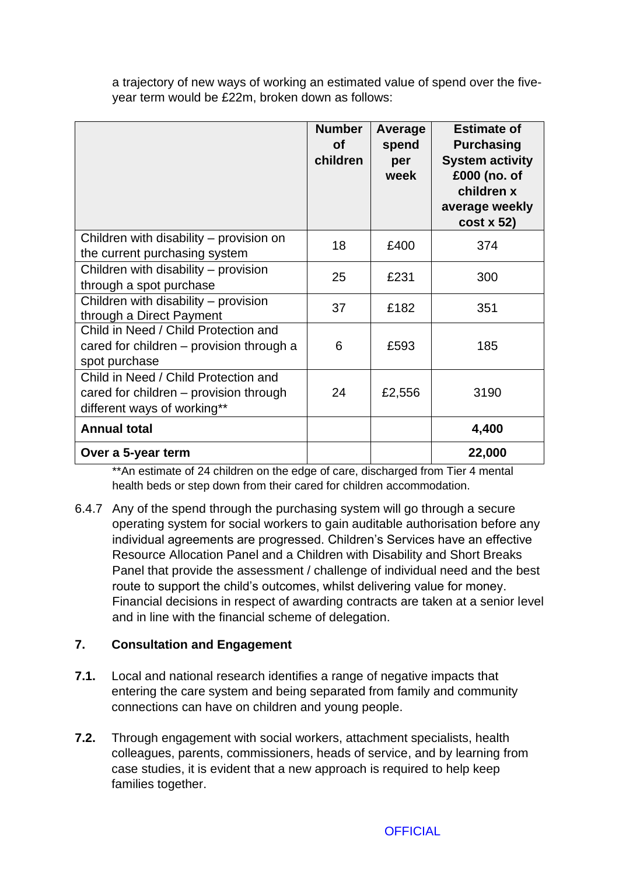a trajectory of new ways of working an estimated value of spend over the fiveyear term would be £22m, broken down as follows:

|                                                                                                               | <b>Number</b><br>οf<br>children | Average<br>spend<br>per<br>week | <b>Estimate of</b><br><b>Purchasing</b><br><b>System activity</b><br>£000 (no. of<br>children x<br>average weekly<br>$cost \times 52$ |
|---------------------------------------------------------------------------------------------------------------|---------------------------------|---------------------------------|---------------------------------------------------------------------------------------------------------------------------------------|
| Children with disability – provision on<br>the current purchasing system                                      | 18                              | £400                            | 374                                                                                                                                   |
| Children with disability – provision<br>through a spot purchase                                               | 25                              | £231                            | 300                                                                                                                                   |
| Children with disability – provision<br>through a Direct Payment                                              | 37                              | £182                            | 351                                                                                                                                   |
| Child in Need / Child Protection and<br>cared for children - provision through a<br>spot purchase             | 6                               | £593                            | 185                                                                                                                                   |
| Child in Need / Child Protection and<br>cared for children – provision through<br>different ways of working** | 24                              | £2,556                          | 3190                                                                                                                                  |
| <b>Annual total</b>                                                                                           |                                 |                                 | 4,400                                                                                                                                 |
| Over a 5-year term                                                                                            |                                 |                                 | 22,000                                                                                                                                |

\*\*An estimate of 24 children on the edge of care, discharged from Tier 4 mental health beds or step down from their cared for children accommodation.

6.4.7 Any of the spend through the purchasing system will go through a secure operating system for social workers to gain auditable authorisation before any individual agreements are progressed. Children's Services have an effective Resource Allocation Panel and a Children with Disability and Short Breaks Panel that provide the assessment / challenge of individual need and the best route to support the child's outcomes, whilst delivering value for money. Financial decisions in respect of awarding contracts are taken at a senior level and in line with the financial scheme of delegation.

# **7. Consultation and Engagement**

- **7.1.** Local and national research identifies a range of negative impacts that entering the care system and being separated from family and community connections can have on children and young people.
- **7.2.** Through engagement with social workers, attachment specialists, health colleagues, parents, commissioners, heads of service, and by learning from case studies, it is evident that a new approach is required to help keep families together.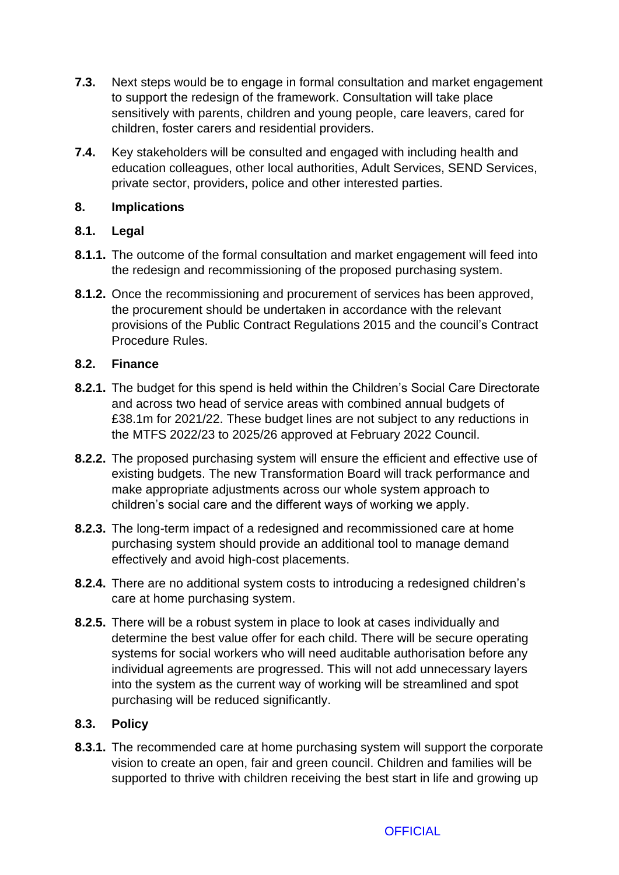- **7.3.** Next steps would be to engage in formal consultation and market engagement to support the redesign of the framework. Consultation will take place sensitively with parents, children and young people, care leavers, cared for children, foster carers and residential providers.
- **7.4.** Key stakeholders will be consulted and engaged with including health and education colleagues, other local authorities, Adult Services, SEND Services, private sector, providers, police and other interested parties.

# **8. Implications**

## **8.1. Legal**

- **8.1.1.** The outcome of the formal consultation and market engagement will feed into the redesign and recommissioning of the proposed purchasing system.
- **8.1.2.** Once the recommissioning and procurement of services has been approved, the procurement should be undertaken in accordance with the relevant provisions of the Public Contract Regulations 2015 and the council's Contract Procedure Rules.

#### **8.2. Finance**

- **8.2.1.** The budget for this spend is held within the Children's Social Care Directorate and across two head of service areas with combined annual budgets of £38.1m for 2021/22. These budget lines are not subject to any reductions in the MTFS 2022/23 to 2025/26 approved at February 2022 Council.
- **8.2.2.** The proposed purchasing system will ensure the efficient and effective use of existing budgets. The new Transformation Board will track performance and make appropriate adjustments across our whole system approach to children's social care and the different ways of working we apply.
- **8.2.3.** The long-term impact of a redesigned and recommissioned care at home purchasing system should provide an additional tool to manage demand effectively and avoid high-cost placements.
- **8.2.4.** There are no additional system costs to introducing a redesigned children's care at home purchasing system.
- **8.2.5.** There will be a robust system in place to look at cases individually and determine the best value offer for each child. There will be secure operating systems for social workers who will need auditable authorisation before any individual agreements are progressed. This will not add unnecessary layers into the system as the current way of working will be streamlined and spot purchasing will be reduced significantly.

# **8.3. Policy**

**8.3.1.** The recommended care at home purchasing system will support the corporate vision to create an open, fair and green council. Children and families will be supported to thrive with children receiving the best start in life and growing up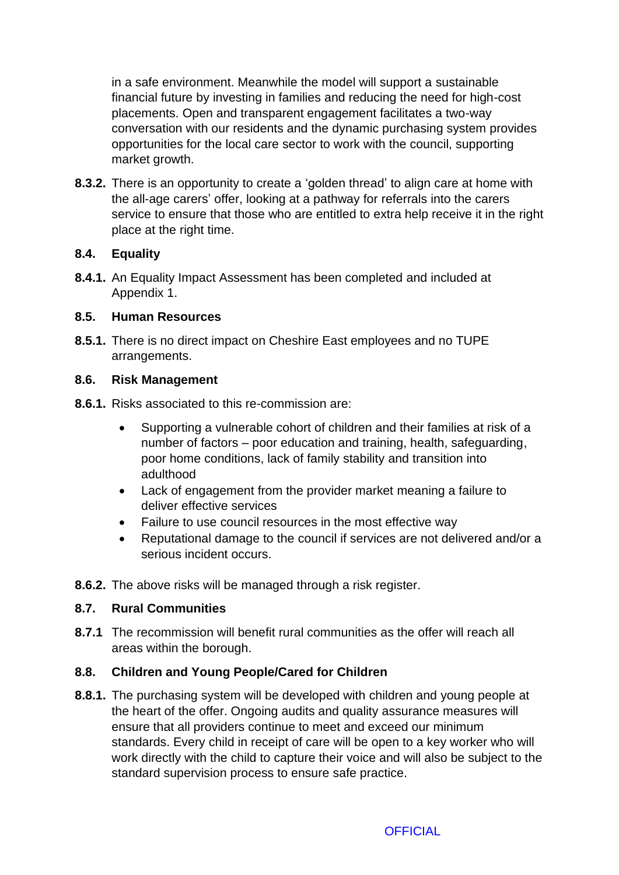in a safe environment. Meanwhile the model will support a sustainable financial future by investing in families and reducing the need for high-cost placements. Open and transparent engagement facilitates a two-way conversation with our residents and the dynamic purchasing system provides opportunities for the local care sector to work with the council, supporting market growth.

**8.3.2.** There is an opportunity to create a 'golden thread' to align care at home with the all-age carers' offer, looking at a pathway for referrals into the carers service to ensure that those who are entitled to extra help receive it in the right place at the right time.

# **8.4. Equality**

**8.4.1.** An Equality Impact Assessment has been completed and included at Appendix 1.

# **8.5. Human Resources**

**8.5.1.** There is no direct impact on Cheshire East employees and no TUPE arrangements.

# **8.6. Risk Management**

- **8.6.1.** Risks associated to this re-commission are:
	- Supporting a vulnerable cohort of children and their families at risk of a number of factors – poor education and training, health, safeguarding, poor home conditions, lack of family stability and transition into adulthood
	- Lack of engagement from the provider market meaning a failure to deliver effective services
	- Failure to use council resources in the most effective way
	- Reputational damage to the council if services are not delivered and/or a serious incident occurs.
- **8.6.2.** The above risks will be managed through a risk register.

# **8.7. Rural Communities**

**8.7.1** The recommission will benefit rural communities as the offer will reach all areas within the borough.

# **8.8. Children and Young People/Cared for Children**

**8.8.1.** The purchasing system will be developed with children and young people at the heart of the offer. Ongoing audits and quality assurance measures will ensure that all providers continue to meet and exceed our minimum standards. Every child in receipt of care will be open to a key worker who will work directly with the child to capture their voice and will also be subject to the standard supervision process to ensure safe practice.